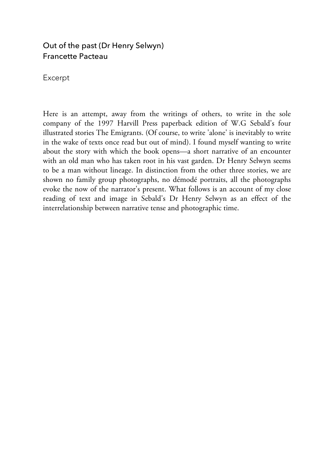## Out of the past (Dr Henry Selwyn) Francette Pacteau

Excerpt

Here is an attempt, away from the writings of others, to write in the sole company of the 1997 Harvill Press paperback edition of W.G Sebald's four illustrated stories The Emigrants. (Of course, to write 'alone' is inevitably to write in the wake of texts once read but out of mind). I found myself wanting to write about the story with which the book opens—a short narrative of an encounter with an old man who has taken root in his vast garden. Dr Henry Selwyn seems to be a man without lineage. In distinction from the other three stories, we are shown no family group photographs, no démodé portraits, all the photographs evoke the now of the narrator's present. What follows is an account of my close reading of text and image in Sebald's Dr Henry Selwyn as an effect of the interrelationship between narrative tense and photographic time.